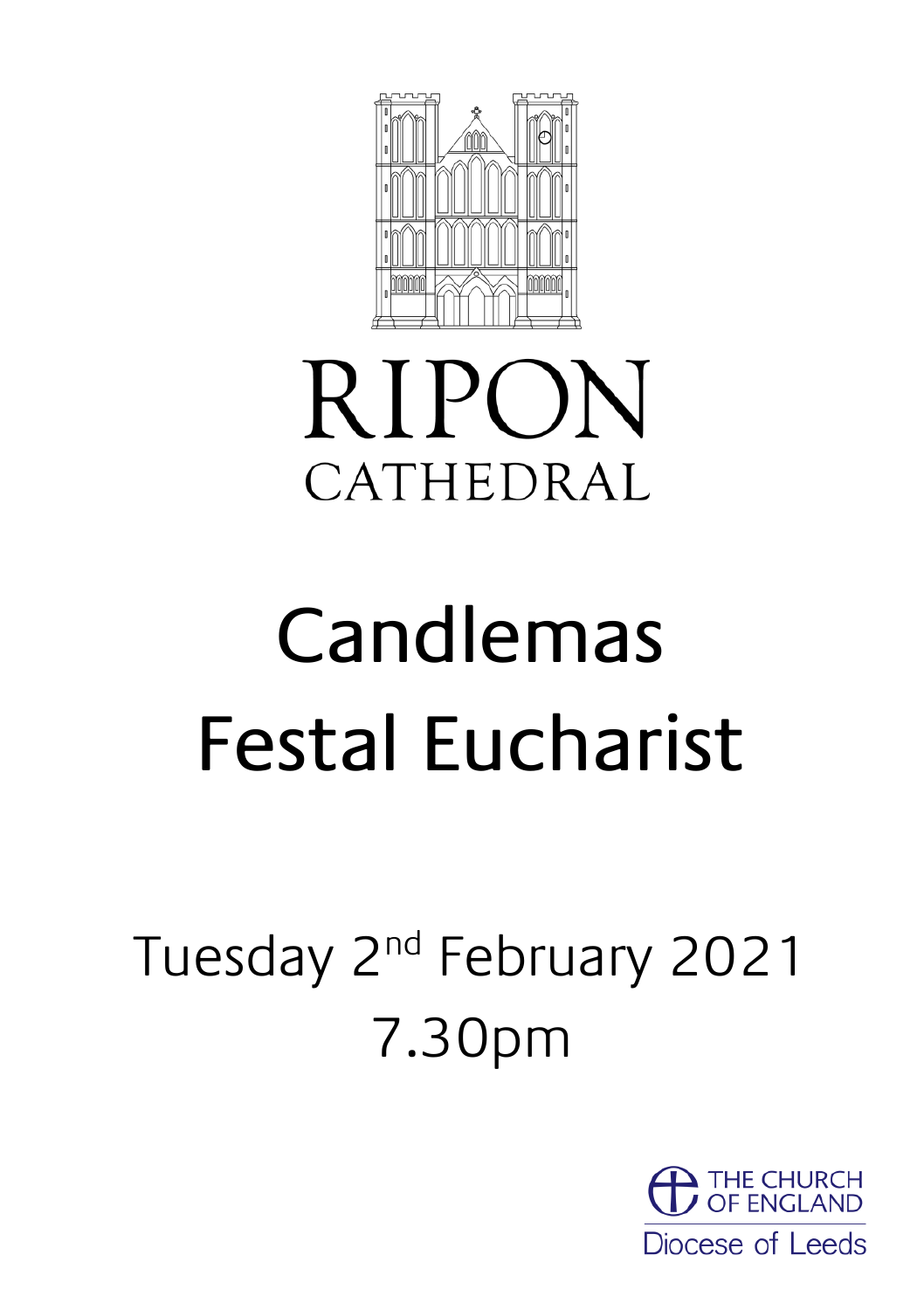

## **RIPON** CATHEDRAL

# Candlemas Festal Eucharist

## Tuesday 2<sup>nd</sup> February 2021 7.30pm

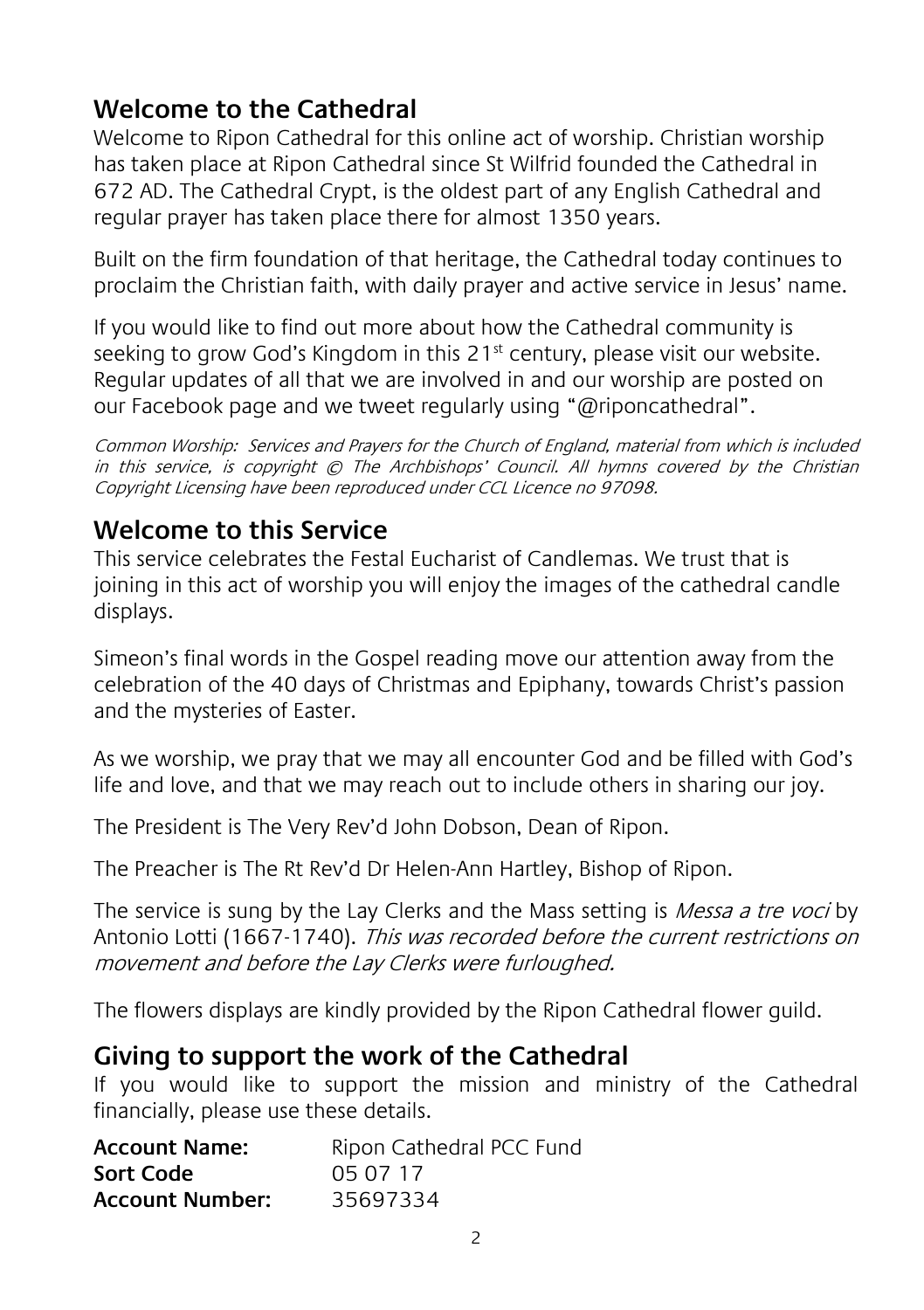#### **Welcome to the Cathedral**

Welcome to Ripon Cathedral for this online act of worship. Christian worship has taken place at Ripon Cathedral since St Wilfrid founded the Cathedral in 672 AD. The Cathedral Crypt, is the oldest part of any English Cathedral and regular prayer has taken place there for almost 1350 years.

Built on the firm foundation of that heritage, the Cathedral today continues to proclaim the Christian faith, with daily prayer and active service in Jesus' name.

If you would like to find out more about how the Cathedral community is seeking to grow God's Kingdom in this  $21<sup>st</sup>$  century, please visit our website. Regular updates of all that we are involved in and our worship are posted on our Facebook page and we tweet regularly using "@riponcathedral".

Common Worship: Services and Prayers for the Church of England, material from which is included in this service, is copyright © The Archbishops' Council. All hymns covered by the Christian Copyright Licensing have been reproduced under CCL Licence no 97098.

#### **Welcome to this Service**

This service celebrates the Festal Eucharist of Candlemas. We trust that is joining in this act of worship you will enjoy the images of the cathedral candle displays.

Simeon's final words in the Gospel reading move our attention away from the celebration of the 40 days of Christmas and Epiphany, towards Christ's passion and the mysteries of Easter.

As we worship, we pray that we may all encounter God and be filled with God's life and love, and that we may reach out to include others in sharing our joy.

The President is The Very Rev'd John Dobson, Dean of Ripon.

The Preacher is The Rt Rev'd Dr Helen-Ann Hartley, Bishop of Ripon.

The service is sung by the Lay Clerks and the Mass setting is *Messa a tre voci* by Antonio Lotti (1667-1740). This was recorded before the current restrictions on movement and before the Lay Clerks were furloughed.

The flowers displays are kindly provided by the Ripon Cathedral flower guild.

#### **Giving to support the work of the Cathedral**

If you would like to support the mission and ministry of the Cathedral financially, please use these details.

| <b>Account Name:</b>   | Ripon Cathedral PCC Fund |
|------------------------|--------------------------|
| Sort Code              | 05 07 17                 |
| <b>Account Number:</b> | 35697334                 |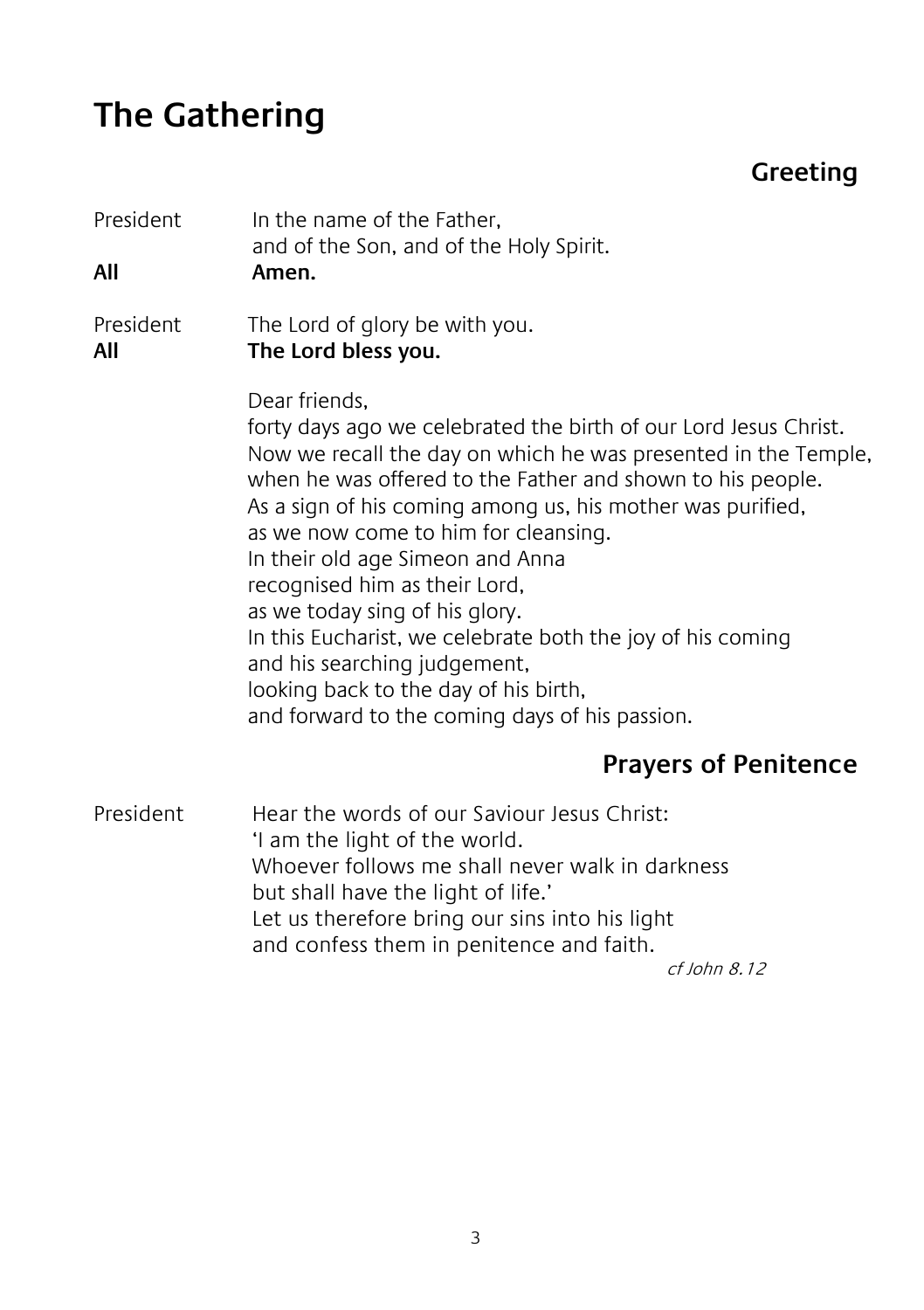## **The Gathering**

#### **Greeting**

| President<br>All | In the name of the Father,<br>and of the Son, and of the Holy Spirit.<br>Amen.                                                                                                                                                                                                                                                                                                                                                                                                                                                                                                                                          |
|------------------|-------------------------------------------------------------------------------------------------------------------------------------------------------------------------------------------------------------------------------------------------------------------------------------------------------------------------------------------------------------------------------------------------------------------------------------------------------------------------------------------------------------------------------------------------------------------------------------------------------------------------|
| President<br>All | The Lord of glory be with you.<br>The Lord bless you.                                                                                                                                                                                                                                                                                                                                                                                                                                                                                                                                                                   |
|                  | Dear friends,<br>forty days ago we celebrated the birth of our Lord Jesus Christ.<br>Now we recall the day on which he was presented in the Temple,<br>when he was offered to the Father and shown to his people.<br>As a sign of his coming among us, his mother was purified,<br>as we now come to him for cleansing.<br>In their old age Simeon and Anna<br>recognised him as their Lord,<br>as we today sing of his glory.<br>In this Eucharist, we celebrate both the joy of his coming<br>and his searching judgement,<br>looking back to the day of his birth,<br>and forward to the coming days of his passion. |
|                  | <b>Prayers of Penitence</b>                                                                                                                                                                                                                                                                                                                                                                                                                                                                                                                                                                                             |
| President        | Hear the words of our Saviour Jesus Christ:<br>I am the light of the world.<br>Whoever follows me shall never walk in darkness<br>but shall have the light of life.'<br>Let us therefore bring our sins into his light<br>and confess them in penitence and faith.                                                                                                                                                                                                                                                                                                                                                      |

cf John 8.12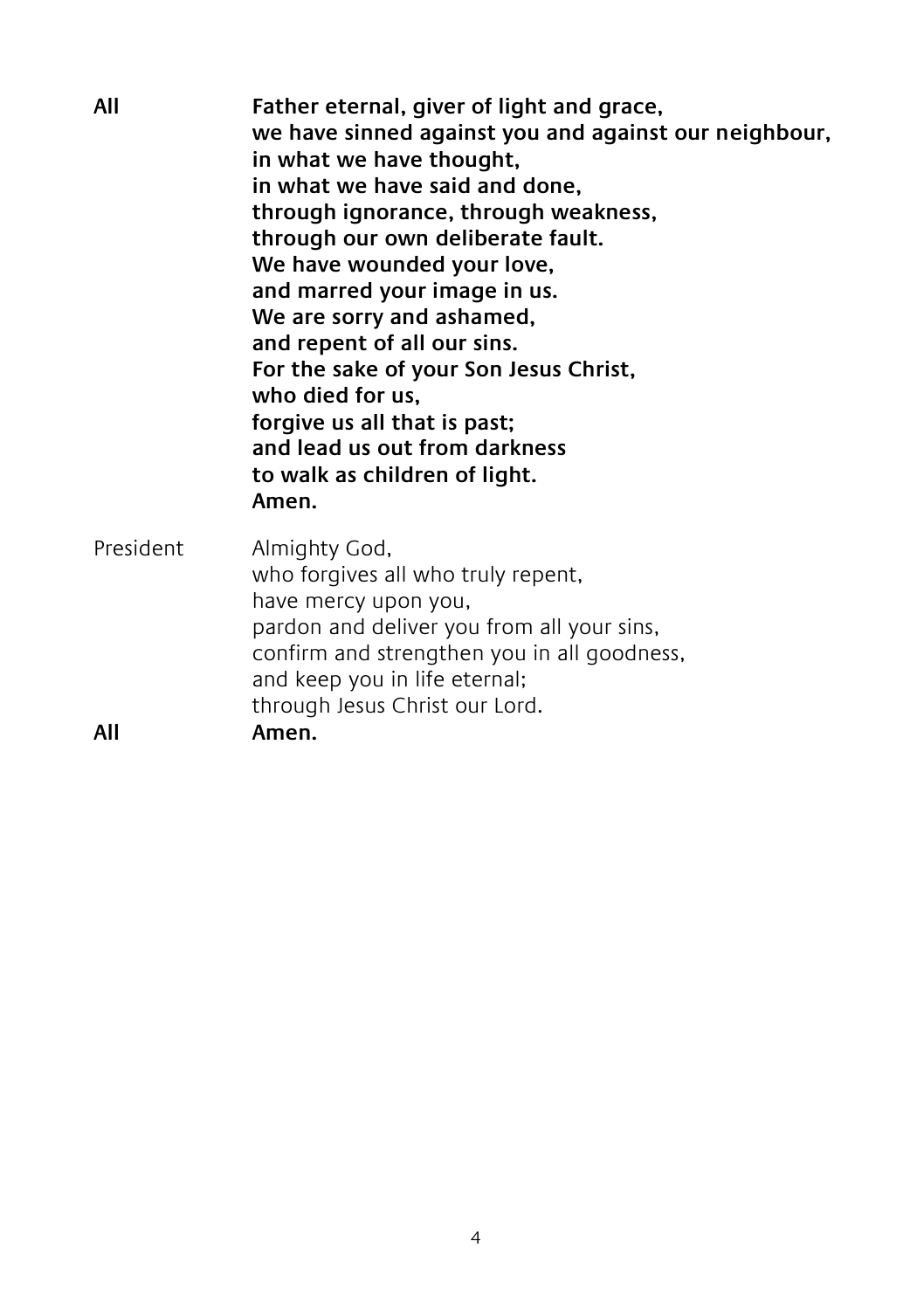| All              | Father eternal, giver of light and grace,<br>we have sinned against you and against our neighbour,<br>in what we have thought,<br>in what we have said and done,<br>through ignorance, through weakness,<br>through our own deliberate fault.<br>We have wounded your love,<br>and marred your image in us.<br>We are sorry and ashamed,<br>and repent of all our sins.<br>For the sake of your Son Jesus Christ,<br>who died for us,<br>forgive us all that is past;<br>and lead us out from darkness<br>to walk as children of light.<br>Amen. |
|------------------|--------------------------------------------------------------------------------------------------------------------------------------------------------------------------------------------------------------------------------------------------------------------------------------------------------------------------------------------------------------------------------------------------------------------------------------------------------------------------------------------------------------------------------------------------|
| President<br>All | Almighty God,<br>who forgives all who truly repent,<br>have mercy upon you,<br>pardon and deliver you from all your sins,<br>confirm and strengthen you in all goodness,<br>and keep you in life eternal;<br>through Jesus Christ our Lord.<br>Amen.                                                                                                                                                                                                                                                                                             |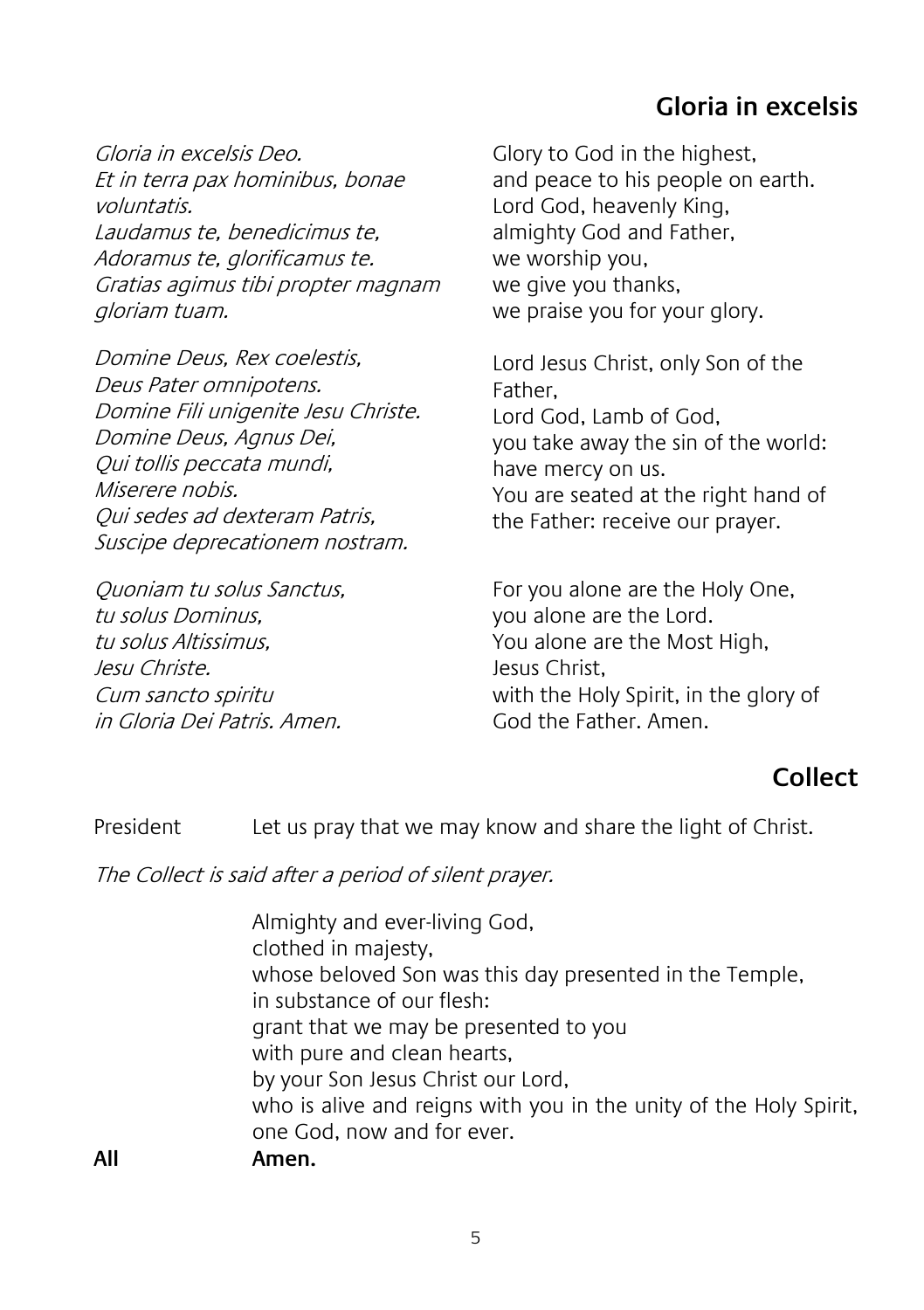#### **Gloria in excelsis**

Gloria in excelsis Deo. Et in terra pax hominibus, bonae voluntatis. Laudamus te, benedicimus te, Adoramus te, glorificamus te. Gratias agimus tibi propter magnam gloriam tuam.

Domine Deus, Rex coelestis, Deus Pater omnipotens. Domine Fili unigenite Jesu Christe. Domine Deus, Agnus Dei, Qui tollis peccata mundi, Miserere nobis. Qui sedes ad dexteram Patris, Suscipe deprecationem nostram.

Quoniam tu solus Sanctus, tu solus Dominus, tu solus Altissimus, Jesu Christe. Cum sancto spiritu in Gloria Dei Patris. Amen.

Glory to God in the highest, and peace to his people on earth. Lord God, heavenly King, almighty God and Father, we worship you, we give you thanks, we praise you for your glory.

Lord Jesus Christ, only Son of the Father, Lord God, Lamb of God, you take away the sin of the world: have mercy on us. You are seated at the right hand of the Father: receive our prayer.

For you alone are the Holy One, you alone are the Lord. You alone are the Most High, Jesus Christ, with the Holy Spirit, in the glory of God the Father. Amen.

#### **Collect**

President Let us pray that we may know and share the light of Christ.

The Collect is said after a period of silent prayer.

Almighty and ever-living God, clothed in majesty, whose beloved Son was this day presented in the Temple, in substance of our flesh: grant that we may be presented to you with pure and clean hearts, by your Son Jesus Christ our Lord, who is alive and reigns with you in the unity of the Holy Spirit, one God, now and for ever. **All Amen.**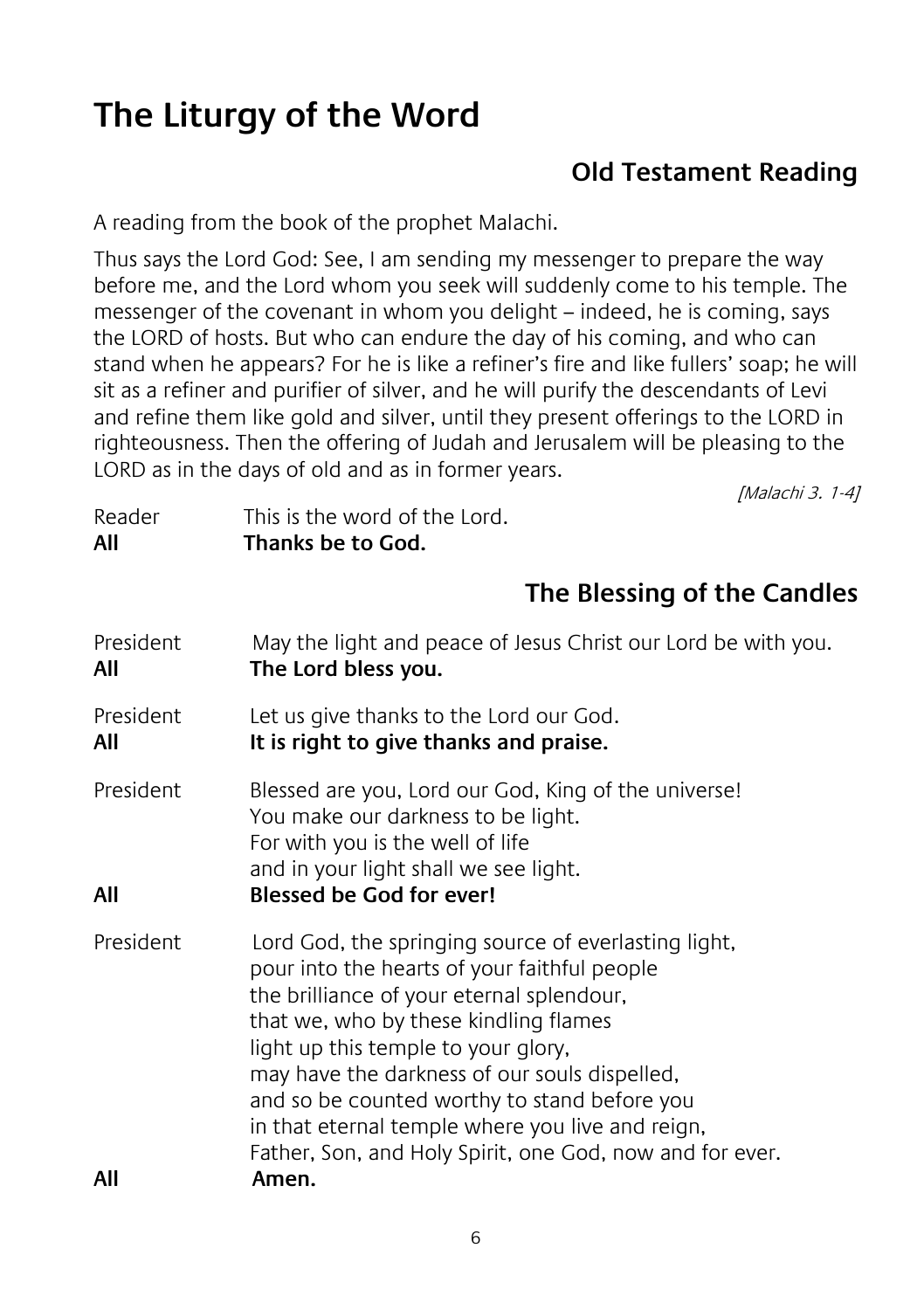## **The Liturgy of the Word**

#### **Old Testament Reading**

A reading from the book of the prophet Malachi.

Thus says the Lord God: See, I am sending my messenger to prepare the way before me, and the Lord whom you seek will suddenly come to his temple. The messenger of the covenant in whom you delight – indeed, he is coming, says the LORD of hosts. But who can endure the day of his coming, and who can stand when he appears? For he is like a refiner's fire and like fullers' soap; he will sit as a refiner and purifier of silver, and he will purify the descendants of Levi and refine them like gold and silver, until they present offerings to the LORD in righteousness. Then the offering of Judah and Jerusalem will be pleasing to the LORD as in the days of old and as in former years.

[Malachi 3. 1-4]

| Reader | This is the word of the Lord. |
|--------|-------------------------------|
| All    | Thanks be to God.             |

#### **The Blessing of the Candles**

| President<br>All | May the light and peace of Jesus Christ our Lord be with you.<br>The Lord bless you.                                                                                                                                                                                                                                                                                                                                                               |
|------------------|----------------------------------------------------------------------------------------------------------------------------------------------------------------------------------------------------------------------------------------------------------------------------------------------------------------------------------------------------------------------------------------------------------------------------------------------------|
| President<br>All | Let us give thanks to the Lord our God.<br>It is right to give thanks and praise.                                                                                                                                                                                                                                                                                                                                                                  |
| President<br>All | Blessed are you, Lord our God, King of the universe!<br>You make our darkness to be light.<br>For with you is the well of life<br>and in your light shall we see light.<br><b>Blessed be God for ever!</b>                                                                                                                                                                                                                                         |
| <b>President</b> | Lord God, the springing source of everlasting light,<br>pour into the hearts of your faithful people<br>the brilliance of your eternal splendour,<br>that we, who by these kindling flames<br>light up this temple to your glory,<br>may have the darkness of our souls dispelled,<br>and so be counted worthy to stand before you<br>in that eternal temple where you live and reign,<br>Father, Son, and Holy Spirit, one God, now and for ever. |
| All              | Amen.                                                                                                                                                                                                                                                                                                                                                                                                                                              |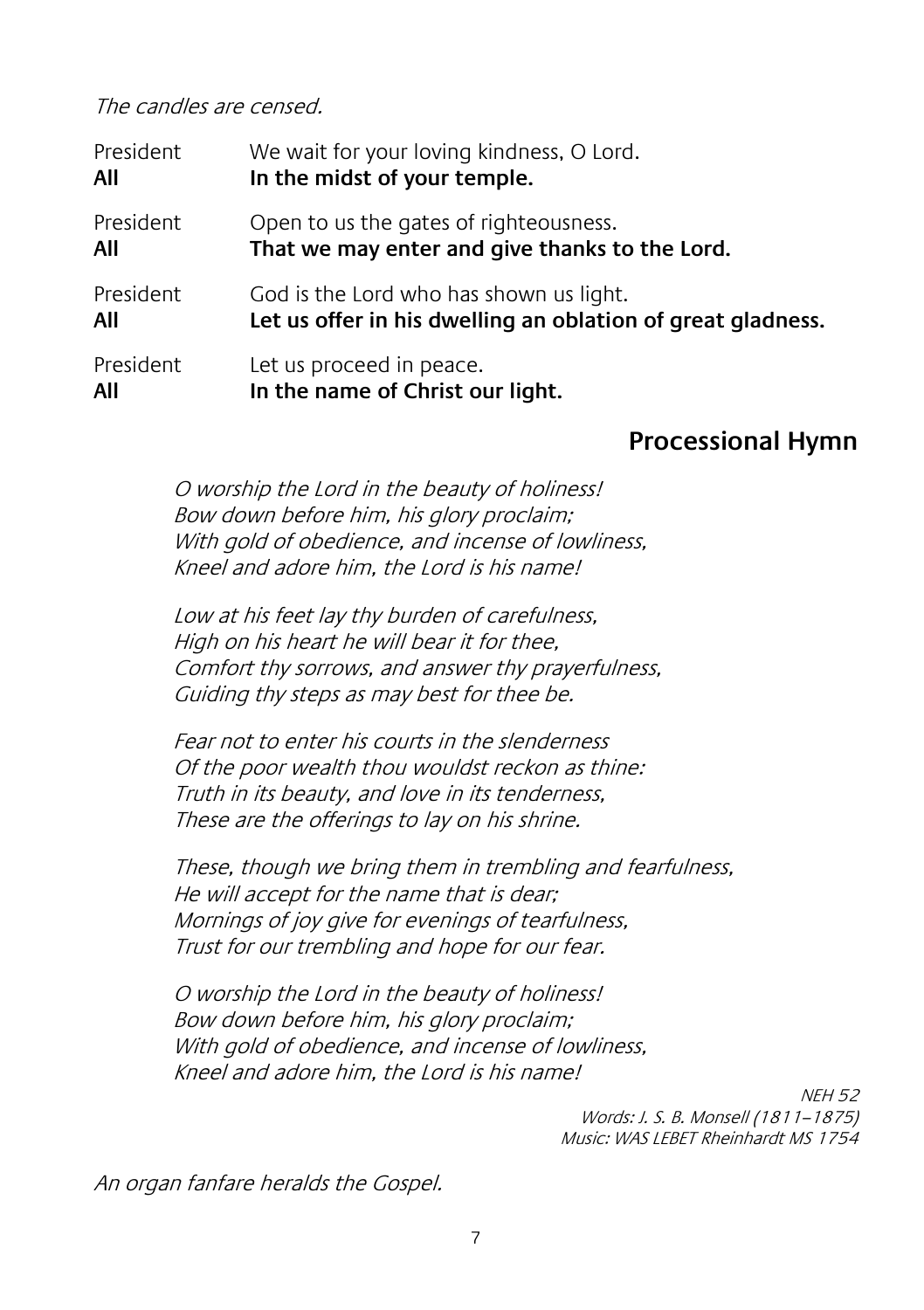The candles are censed.

| President | We wait for your loving kindness, O Lord.                   |
|-----------|-------------------------------------------------------------|
| All       | In the midst of your temple.                                |
| President | Open to us the gates of righteousness.                      |
| All       | That we may enter and give thanks to the Lord.              |
| President | God is the Lord who has shown us light.                     |
| All       | Let us offer in his dwelling an oblation of great gladness. |
| President | Let us proceed in peace.                                    |
| All       | In the name of Christ our light.                            |

#### **Processional Hymn**

 O worship the Lord in the beauty of holiness! Bow down before him, his glory proclaim; With gold of obedience, and incense of lowliness, Kneel and adore him, the Lord is his name!

Low at his feet lay thy burden of carefulness, High on his heart he will bear it for thee, Comfort thy sorrows, and answer thy prayerfulness, Guiding thy steps as may best for thee be.

Fear not to enter his courts in the slenderness Of the poor wealth thou wouldst reckon as thine: Truth in its beauty, and love in its tenderness, These are the offerings to lay on his shrine.

These, though we bring them in trembling and fearfulness, He will accept for the name that is dear; Mornings of joy give for evenings of tearfulness, Trust for our trembling and hope for our fear.

O worship the Lord in the beauty of holiness! Bow down before him, his glory proclaim; With gold of obedience, and incense of lowliness, Kneel and adore him, the Lord is his name!

> NEH 52 Words: J. S. B. Monsell (1811–1875) Music: WAS LEBET Rheinhardt MS 1754

An organ fanfare heralds the Gospel.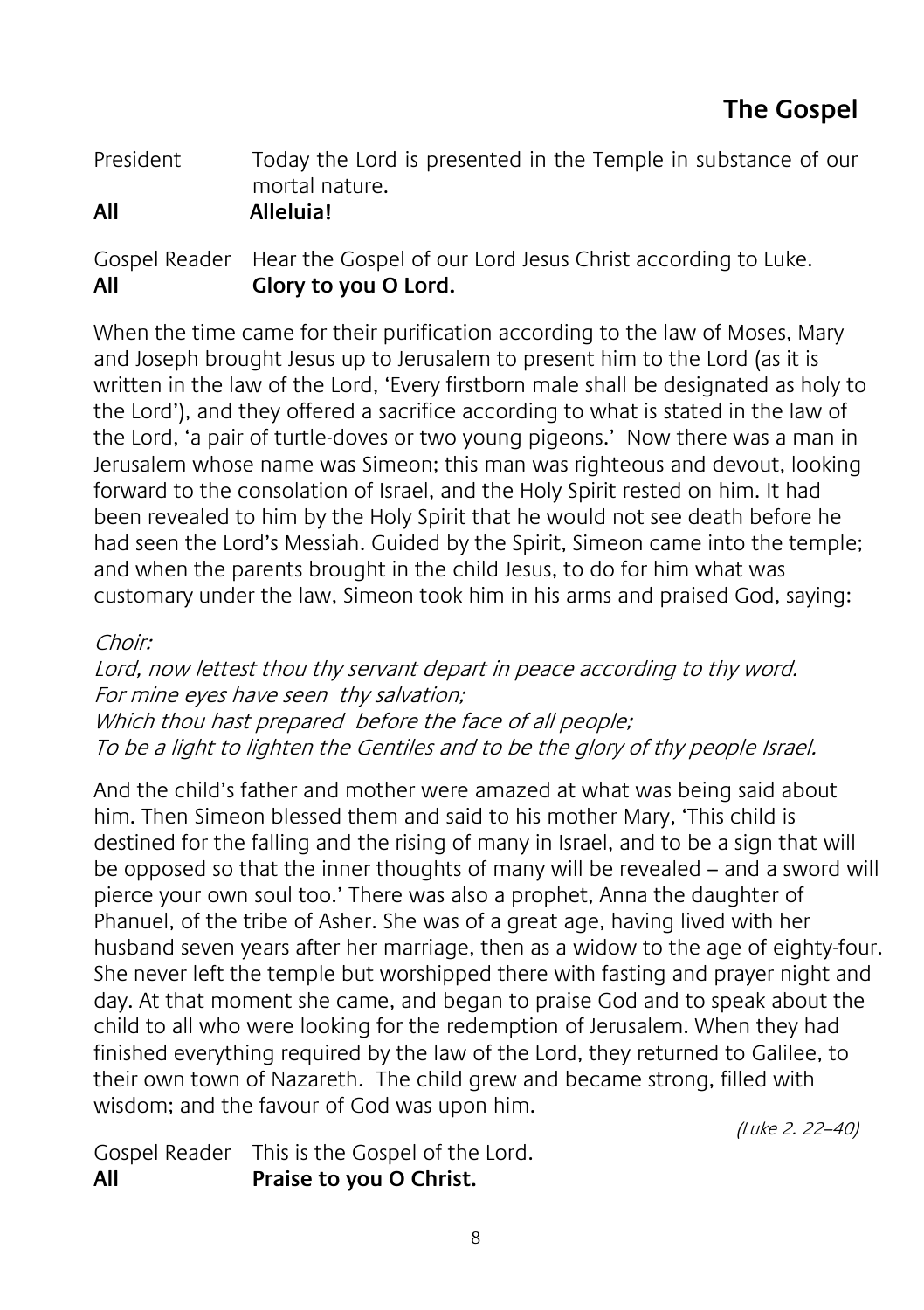| Today the Lord is presented in the Temple in substance of our |
|---------------------------------------------------------------|
| mortal nature.                                                |
| Alleluia!                                                     |
|                                                               |

|     | Gospel Reader Hear the Gospel of our Lord Jesus Christ according to Luke. |
|-----|---------------------------------------------------------------------------|
| All | Glory to you O Lord.                                                      |

When the time came for their purification according to the law of Moses, Mary and Joseph brought Jesus up to Jerusalem to present him to the Lord (as it is written in the law of the Lord, 'Every firstborn male shall be designated as holy to the Lord'), and they offered a sacrifice according to what is stated in the law of the Lord, 'a pair of turtle-doves or two young pigeons.' Now there was a man in Jerusalem whose name was Simeon; this man was righteous and devout, looking forward to the consolation of Israel, and the Holy Spirit rested on him. It had been revealed to him by the Holy Spirit that he would not see death before he had seen the Lord's Messiah. Guided by the Spirit, Simeon came into the temple; and when the parents brought in the child Jesus, to do for him what was customary under the law, Simeon took him in his arms and praised God, saying:

#### Choir:

Lord, now lettest thou thy servant depart in peace according to thy word. For mine eyes have seen thy salvation; Which thou hast prepared before the face of all people; To be a light to lighten the Gentiles and to be the glory of thy people Israel.

And the child's father and mother were amazed at what was being said about him. Then Simeon blessed them and said to his mother Mary, 'This child is destined for the falling and the rising of many in Israel, and to be a sign that will be opposed so that the inner thoughts of many will be revealed – and a sword will pierce your own soul too.' There was also a prophet, Anna the daughter of Phanuel, of the tribe of Asher. She was of a great age, having lived with her husband seven years after her marriage, then as a widow to the age of eighty-four. She never left the temple but worshipped there with fasting and prayer night and day. At that moment she came, and began to praise God and to speak about the child to all who were looking for the redemption of Jerusalem. When they had finished everything required by the law of the Lord, they returned to Galilee, to their own town of Nazareth. The child grew and became strong, filled with wisdom; and the favour of God was upon him.

(Luke 2. 22–40)

Gospel Reader This is the Gospel of the Lord. **All Praise to you O Christ.**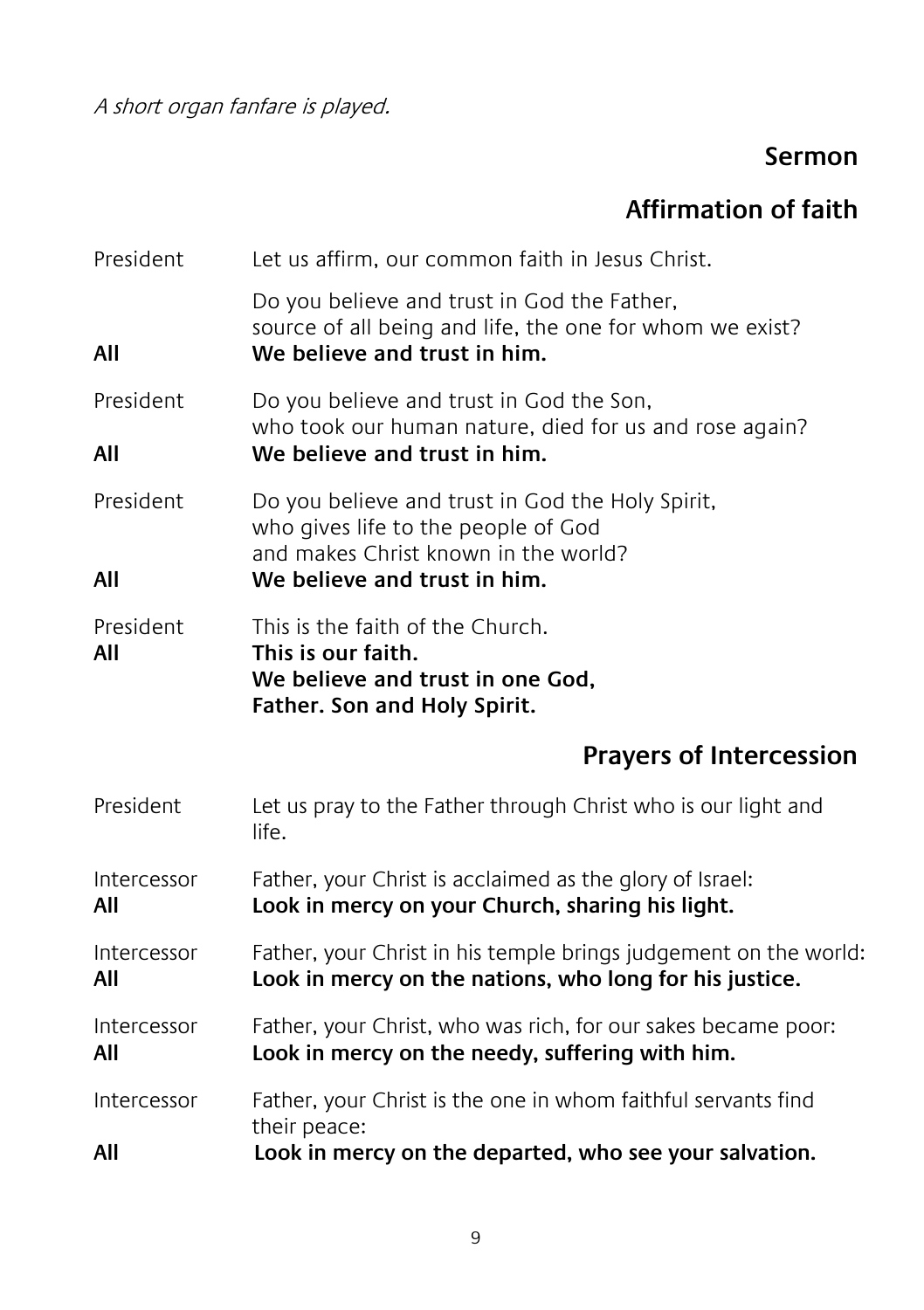A short organ fanfare is played.

#### **Sermon**

#### **Affirmation of faith**

| President          | Let us affirm, our common faith in Jesus Christ.                                                                                                                |
|--------------------|-----------------------------------------------------------------------------------------------------------------------------------------------------------------|
| All                | Do you believe and trust in God the Father,<br>source of all being and life, the one for whom we exist?<br>We believe and trust in him.                         |
| President<br>All   | Do you believe and trust in God the Son,<br>who took our human nature, died for us and rose again?<br>We believe and trust in him.                              |
| President<br>All   | Do you believe and trust in God the Holy Spirit,<br>who gives life to the people of God<br>and makes Christ known in the world?<br>We believe and trust in him. |
| President<br>AII   | This is the faith of the Church.<br>This is our faith.<br>We believe and trust in one God,<br>Father. Son and Holy Spirit.                                      |
|                    | <b>Prayers of Intercession</b>                                                                                                                                  |
| President          | Let us pray to the Father through Christ who is our light and<br>life.                                                                                          |
| Intercessor<br>All | Father, your Christ is acclaimed as the glory of Israel:<br>Look in mercy on your Church, sharing his light.                                                    |
| Intercessor<br>All | Father, your Christ in his temple brings judgement on the world:<br>Look in mercy on the nations, who long for his justice.                                     |
| Intercessor<br>All | Father, your Christ, who was rich, for our sakes became poor:<br>Look in mercy on the needy, suffering with him.                                                |
| Intercessor<br>All | Father, your Christ is the one in whom faithful servants find<br>their peace:<br>Look in mercy on the departed, who see your salvation.                         |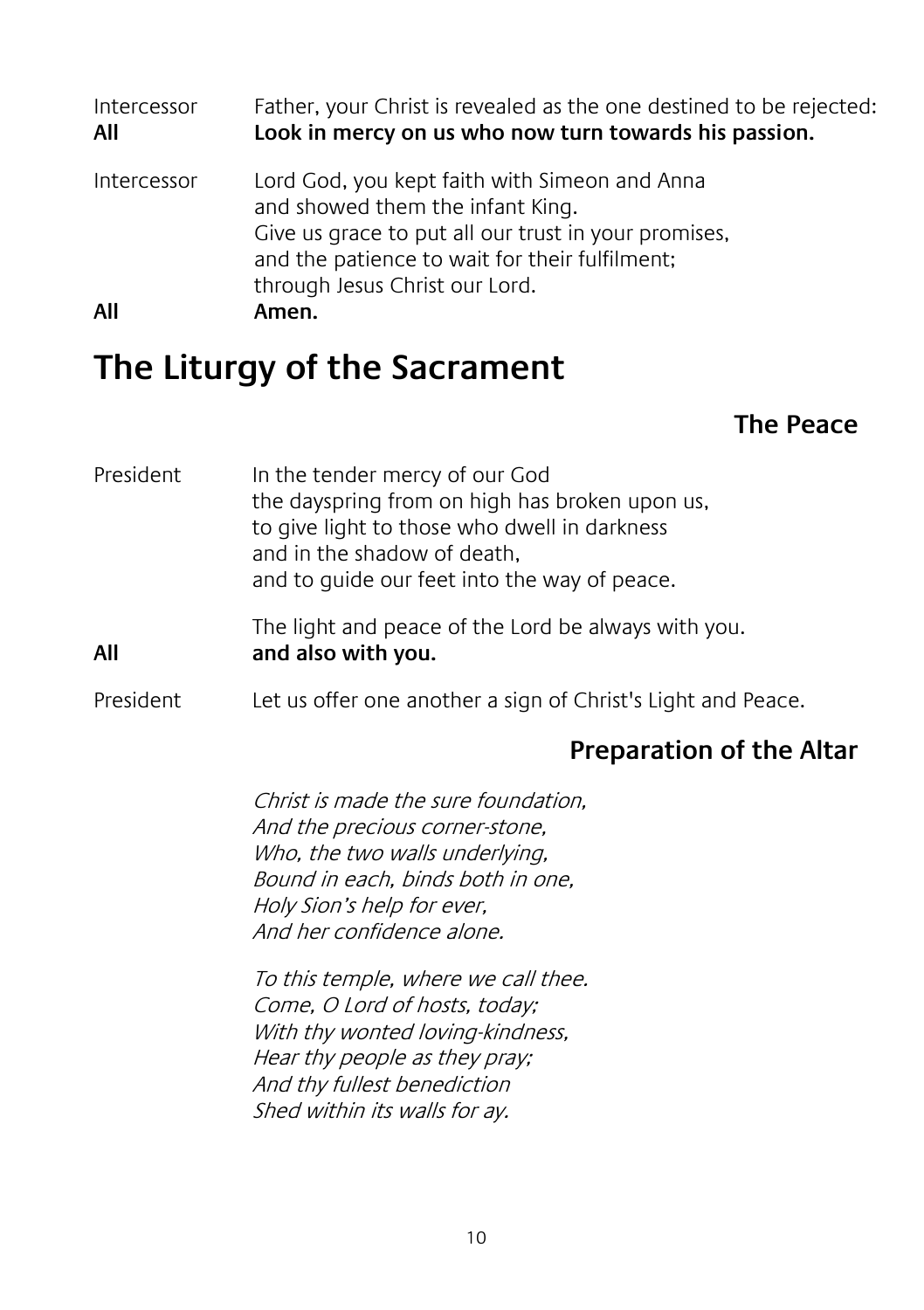Intercessor Father, your Christ is revealed as the one destined to be rejected:<br>All **All Cook in mercy on us who now turn towards his passion All Look in mercy on us who now turn towards his passion.** Intercessor Lord God, you kept faith with Simeon and Anna and showed them the infant King. Give us grace to put all our trust in your promises, and the patience to wait for their fulfilment; through Jesus Christ our Lord. **All Amen.**

### **The Liturgy of the Sacrament**

#### **The Peace**

| President | In the tender mercy of our God<br>the dayspring from on high has broken upon us,<br>to give light to those who dwell in darkness<br>and in the shadow of death,<br>and to guide our feet into the way of peace.                                                                                                                                                                                                      |
|-----------|----------------------------------------------------------------------------------------------------------------------------------------------------------------------------------------------------------------------------------------------------------------------------------------------------------------------------------------------------------------------------------------------------------------------|
| All       | The light and peace of the Lord be always with you.<br>and also with you.                                                                                                                                                                                                                                                                                                                                            |
| President | Let us offer one another a sign of Christ's Light and Peace.                                                                                                                                                                                                                                                                                                                                                         |
|           | Preparation of the Altar                                                                                                                                                                                                                                                                                                                                                                                             |
|           | Christ is made the sure foundation.<br>And the precious corner-stone,<br>Who, the two walls underlying,<br>Bound in each, binds both in one,<br>Holy Sion's help for ever,<br>And her confidence alone.<br>To this temple, where we call thee.<br>Come, O Lord of hosts, today;<br>With thy wonted loving-kindness,<br>Hear thy people as they pray;<br>And thy fullest benediction<br>Shed within its walls for ay. |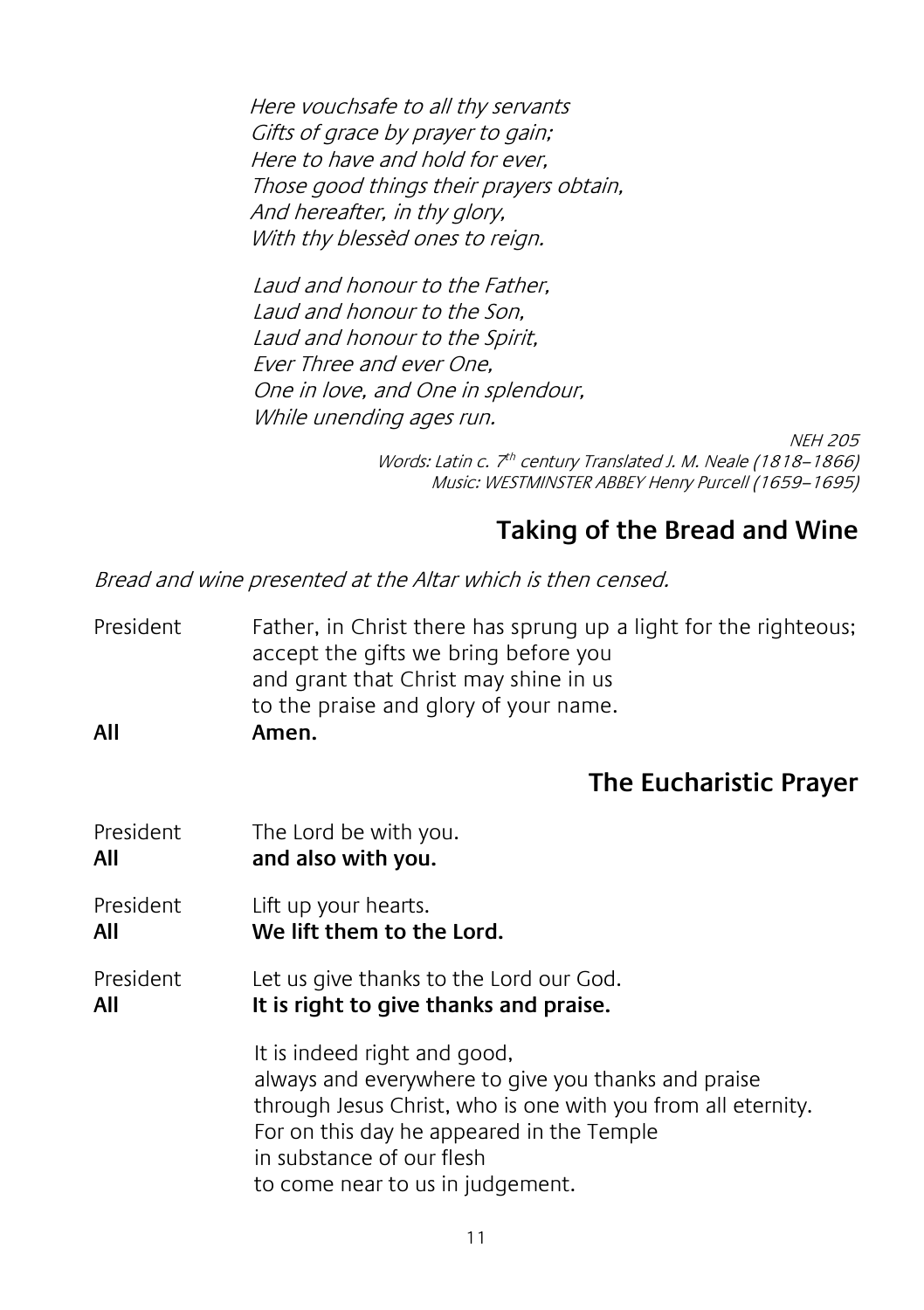Here vouchsafe to all thy servants Gifts of grace by prayer to gain; Here to have and hold for ever, Those good things their prayers obtain, And hereafter, in thy glory, With thy blessèd ones to reign.

Laud and honour to the Father, Laud and honour to the Son, Laud and honour to the Spirit, Ever Three and ever One, One in love, and One in splendour, While unending ages run.

> NEH 205 Words: Latin c. 7<sup>th</sup> century Translated J. M. Neale (1818–1866) Music: WESTMINSTER ABBEY Henry Purcell (1659–1695)

#### **Taking of the Bread and Wine**

Bread and wine presented at the Altar which is then censed.

President Father, in Christ there has sprung up a light for the righteous; accept the gifts we bring before you and grant that Christ may shine in us to the praise and glory of your name. **All Amen.**

#### **The Eucharistic Prayer**

President The Lord be with you. **All and also with you.** President Lift up your hearts. **All We lift them to the Lord.** President Let us give thanks to the Lord our God. **All It is right to give thanks and praise.** It is indeed right and good, always and everywhere to give you thanks and praise through Jesus Christ, who is one with you from all eternity. For on this day he appeared in the Temple in substance of our flesh to come near to us in judgement.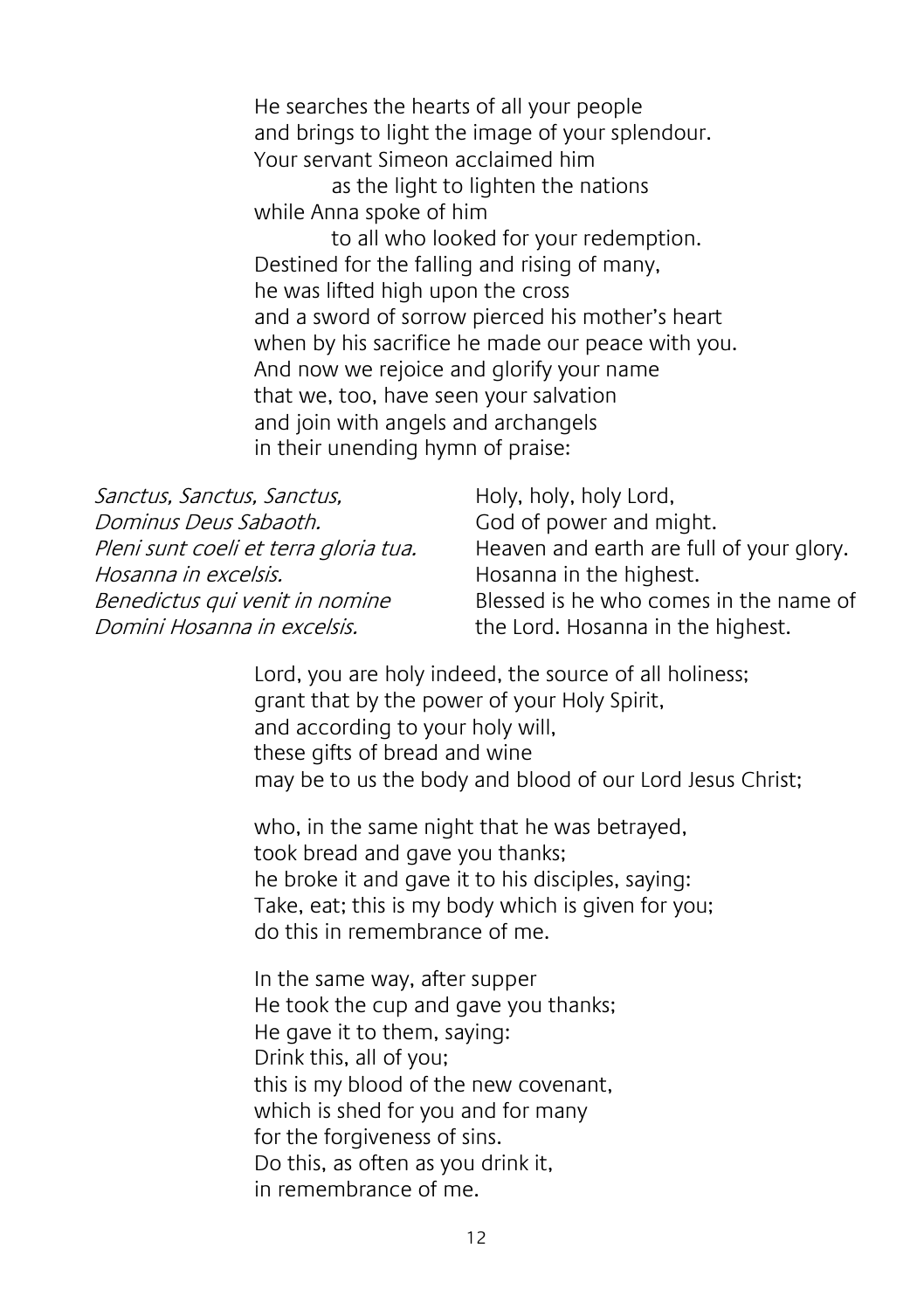He searches the hearts of all your people and brings to light the image of your splendour. Your servant Simeon acclaimed him

as the light to lighten the nations while Anna spoke of him

to all who looked for your redemption. Destined for the falling and rising of many, he was lifted high upon the cross and a sword of sorrow pierced his mother's heart when by his sacrifice he made our peace with you. And now we rejoice and glorify your name that we, too, have seen your salvation and join with angels and archangels in their unending hymn of praise:

| Sanctus, Sanctus, Sanctus,            | Holy, holy, holy Lord,                   |
|---------------------------------------|------------------------------------------|
| Dominus Deus Sabaoth.                 | God of power and might.                  |
| Pleni sunt coeli et terra gloria tua. | Heaven and earth are full of your glory. |
| Hosanna in excelsis.                  | Hosanna in the highest.                  |
| Benedictus qui venit in nomine        | Blessed is he who comes in the name of   |
| Domini Hosanna in excelsis.           | the Lord. Hosanna in the highest.        |

Lord, you are holy indeed, the source of all holiness; grant that by the power of your Holy Spirit, and according to your holy will, these gifts of bread and wine may be to us the body and blood of our Lord Jesus Christ;

who, in the same night that he was betrayed, took bread and gave you thanks; he broke it and gave it to his disciples, saying: Take, eat; this is my body which is given for you; do this in remembrance of me.

In the same way, after supper He took the cup and gave you thanks; He gave it to them, saying: Drink this, all of you; this is my blood of the new covenant, which is shed for you and for many for the forgiveness of sins. Do this, as often as you drink it, in remembrance of me.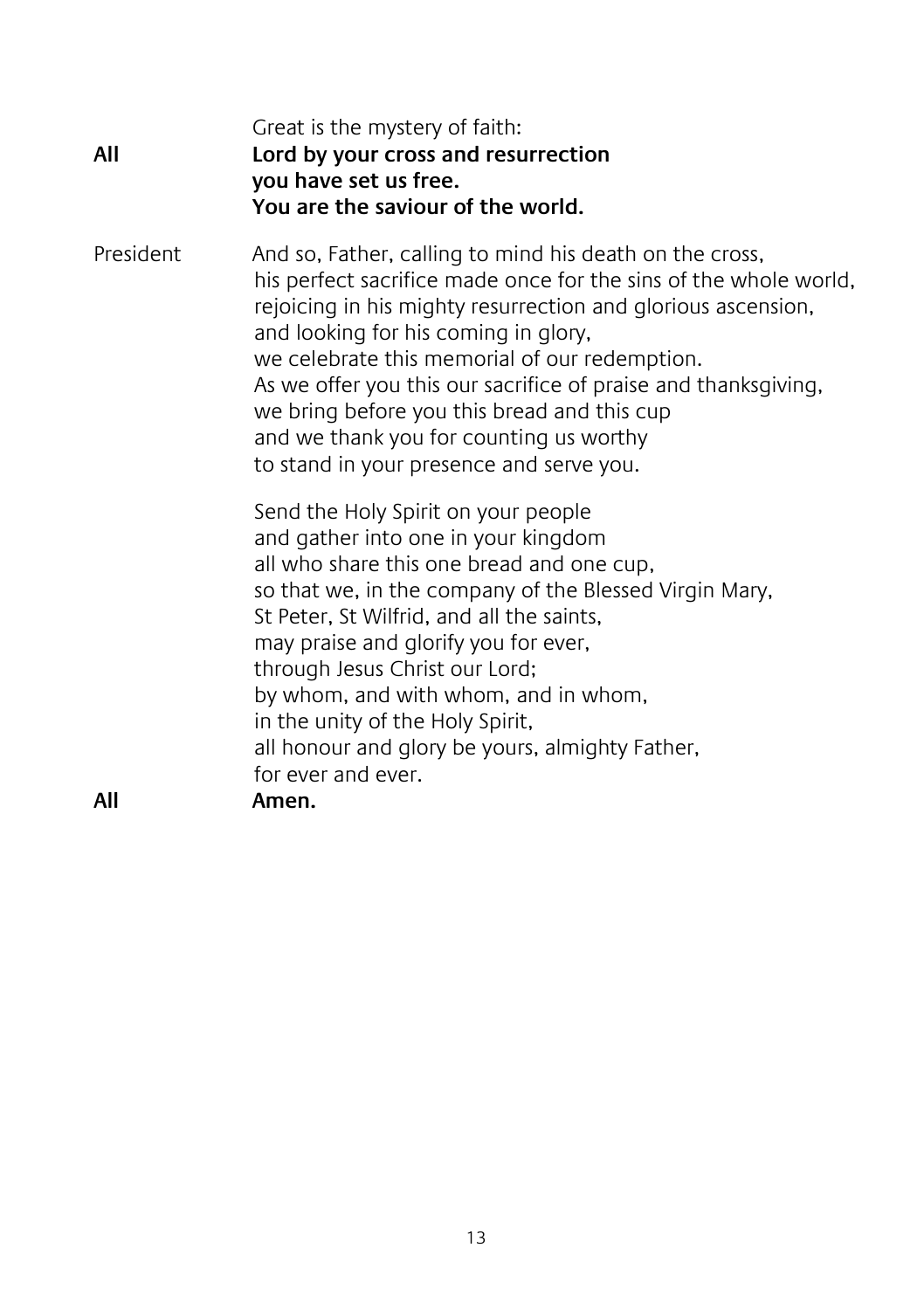| All       | Great is the mystery of faith:<br>Lord by your cross and resurrection<br>you have set us free.<br>You are the saviour of the world.                                                                                                                                                                                                                                                                                                                                                          |
|-----------|----------------------------------------------------------------------------------------------------------------------------------------------------------------------------------------------------------------------------------------------------------------------------------------------------------------------------------------------------------------------------------------------------------------------------------------------------------------------------------------------|
| President | And so, Father, calling to mind his death on the cross,<br>his perfect sacrifice made once for the sins of the whole world,<br>rejoicing in his mighty resurrection and glorious ascension,<br>and looking for his coming in glory,<br>we celebrate this memorial of our redemption.<br>As we offer you this our sacrifice of praise and thanksgiving,<br>we bring before you this bread and this cup<br>and we thank you for counting us worthy<br>to stand in your presence and serve you. |
| All       | Send the Holy Spirit on your people<br>and gather into one in your kingdom<br>all who share this one bread and one cup,<br>so that we, in the company of the Blessed Virgin Mary,<br>St Peter, St Wilfrid, and all the saints,<br>may praise and glorify you for ever,<br>through Jesus Christ our Lord;<br>by whom, and with whom, and in whom,<br>in the unity of the Holy Spirit,<br>all honour and glory be yours, almighty Father,<br>for ever and ever.<br>Amen.                       |
|           |                                                                                                                                                                                                                                                                                                                                                                                                                                                                                              |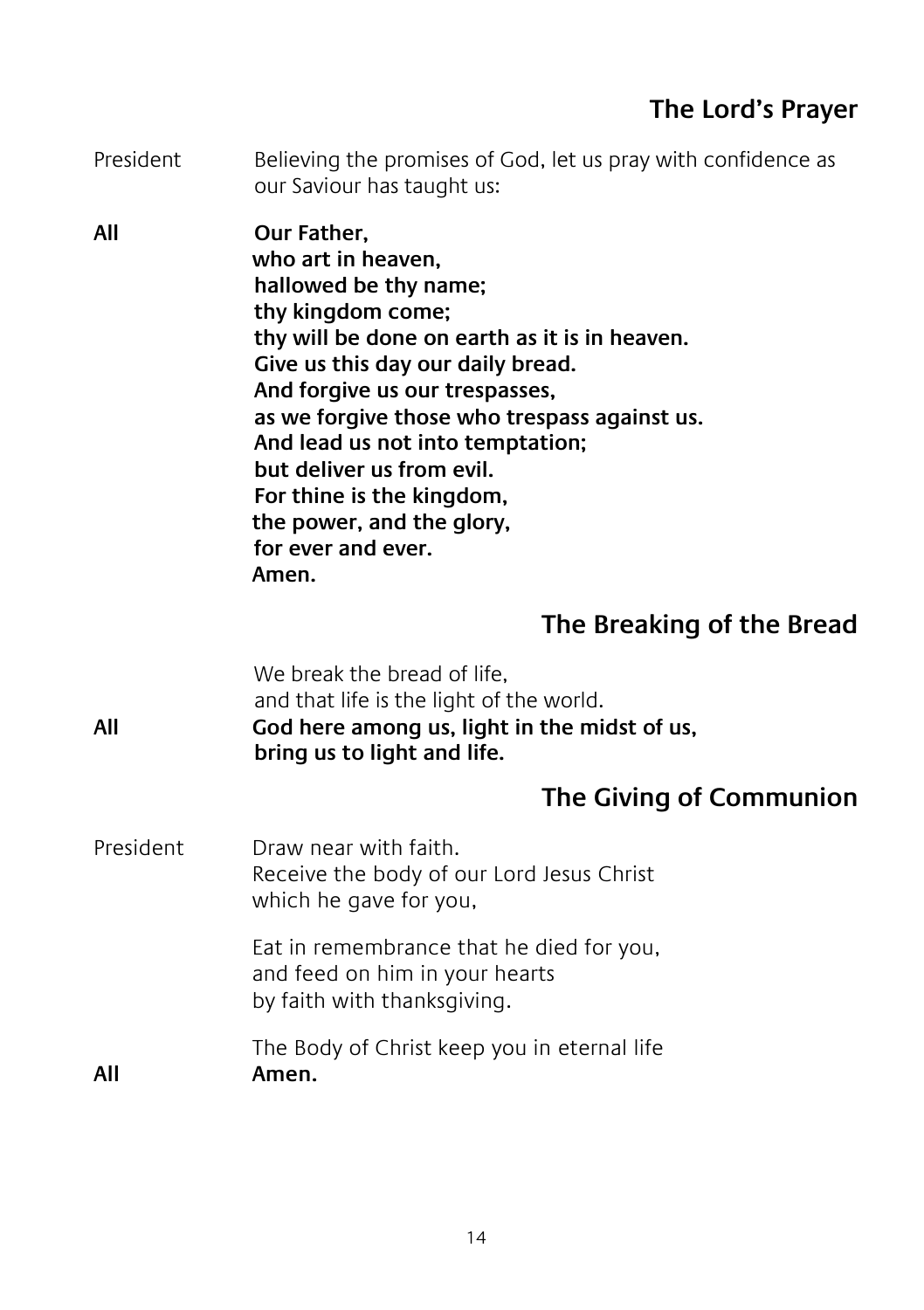President Believing the promises of God, let us pray with confidence as our Saviour has taught us:

**All Our Father, who art in heaven, hallowed be thy name; thy kingdom come; thy will be done on earth as it is in heaven. Give us this day our daily bread. And forgive us our trespasses, as we forgive those who trespass against us. And lead us not into temptation; but deliver us from evil. For thine is the kingdom, the power, and the glory, for ever and ever. Amen.**

#### **The Breaking of the Bread**

We break the bread of life. and that life is the light of the world. **All God here among us, light in the midst of us, bring us to light and life. The Giving of Communion** President Draw near with faith.

Receive the body of our Lord Jesus Christ which he gave for you,

> Eat in remembrance that he died for you, and feed on him in your hearts by faith with thanksgiving.

The Body of Christ keep you in eternal life **All Amen.**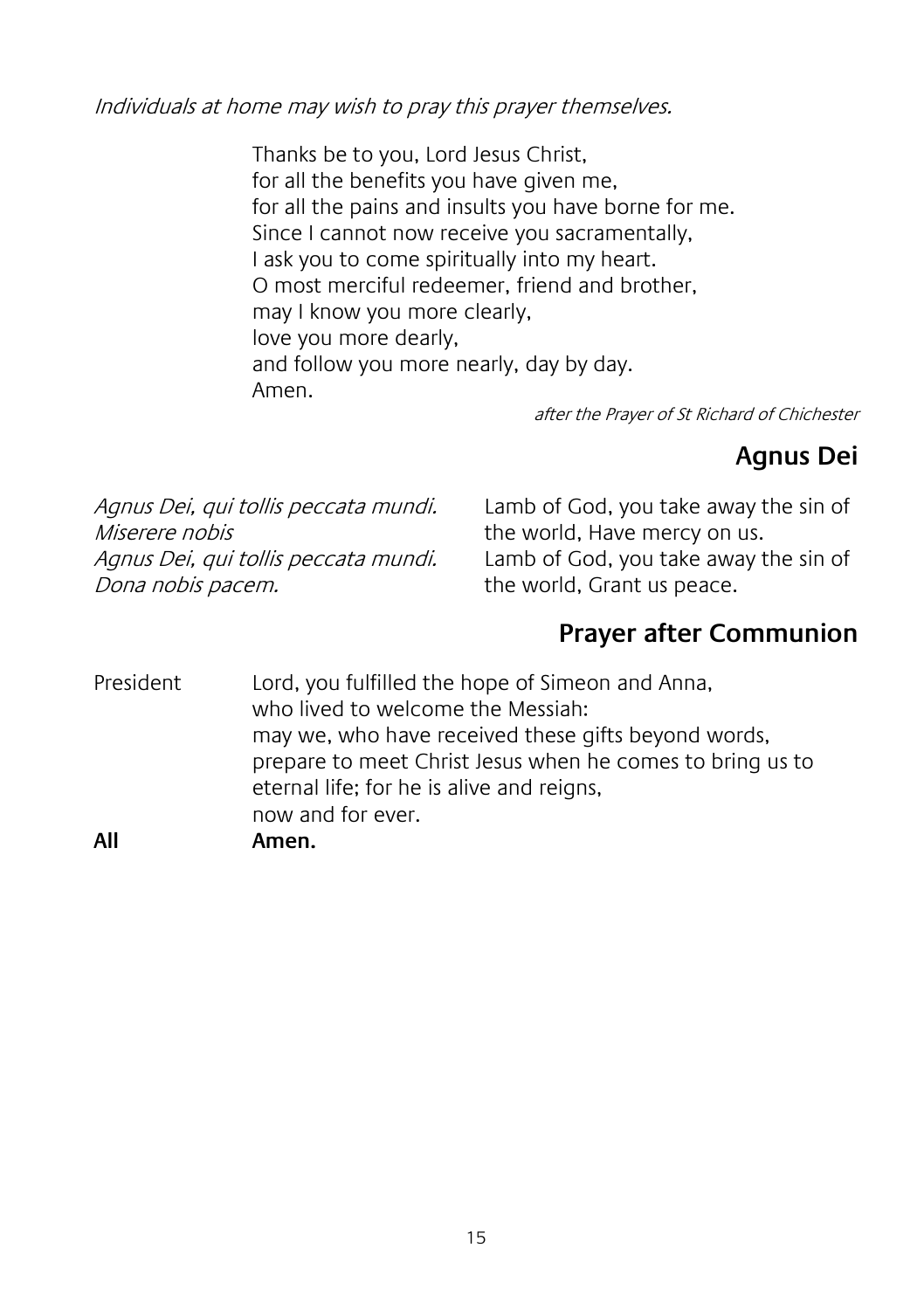Individuals at home may wish to pray this prayer themselves.

Thanks be to you, Lord Jesus Christ, for all the benefits you have given me, for all the pains and insults you have borne for me. Since I cannot now receive you sacramentally, I ask you to come spiritually into my heart. O most merciful redeemer, friend and brother, may I know you more clearly, love you more dearly, and follow you more nearly, day by day. Amen.

after the Prayer of St Richard of Chichester

#### **Agnus Dei**

Agnus Dei, qui tollis peccata mundi. Miserere nobis Agnus Dei, qui tollis peccata mundi. Dona nobis pacem.

Lamb of God, you take away the sin of the world, Have mercy on us. Lamb of God, you take away the sin of the world, Grant us peace.

#### **Prayer after Communion**

President Lord, you fulfilled the hope of Simeon and Anna, who lived to welcome the Messiah: may we, who have received these gifts beyond words, prepare to meet Christ Jesus when he comes to bring us to eternal life; for he is alive and reigns, now and for ever. **All Amen.**